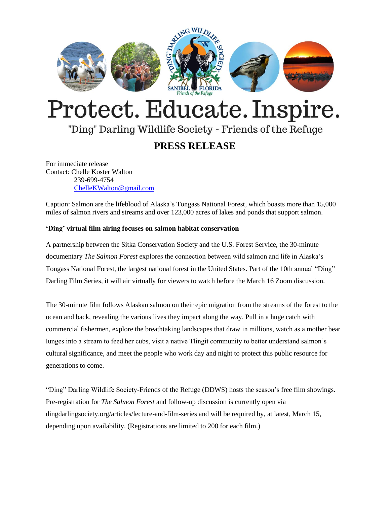

# Protect. Educate. Inspire.

## "Ding" Darling Wildlife Society - Friends of the Refuge

### **PRESS RELEASE**

For immediate release Contact: Chelle Koster Walton 239-699-4754 [ChelleKWalton@gmail.com](mailto:ChelleKWalton@gmail.com)

Caption: Salmon are the lifeblood of Alaska's Tongass National Forest, which boasts more than 15,000 miles of salmon rivers and streams and over 123,000 acres of lakes and ponds that support salmon.

#### **'Ding' virtual film airing focuses on salmon habitat conservation**

A partnership between the Sitka Conservation Society and the U.S. Forest Service, the 30-minute documentary *The Salmon Forest* explores the connection between wild salmon and life in Alaska's Tongass National Forest, the largest national forest in the United States. Part of the 10th annual "Ding" Darling Film Series, it will air virtually for viewers to watch before the March 16 Zoom discussion.

The 30-minute film follows Alaskan salmon on their epic migration from the streams of the forest to the ocean and back, revealing the various lives they impact along the way. Pull in a huge catch with commercial fishermen, explore the breathtaking landscapes that draw in millions, watch as a mother bear lunges into a stream to feed her cubs, visit a native Tlingit community to better understand salmon's cultural significance, and meet the people who work day and night to protect this public resource for generations to come.

"Ding" Darling Wildlife Society-Friends of the Refuge (DDWS) hosts the season's free film showings. Pre-registration for *The Salmon Forest* and follow-up discussion is currently open via dingdarlingsociety.org/articles/lecture-and-film-series and will be required by, at latest, March 15, depending upon availability. (Registrations are limited to 200 for each film.)